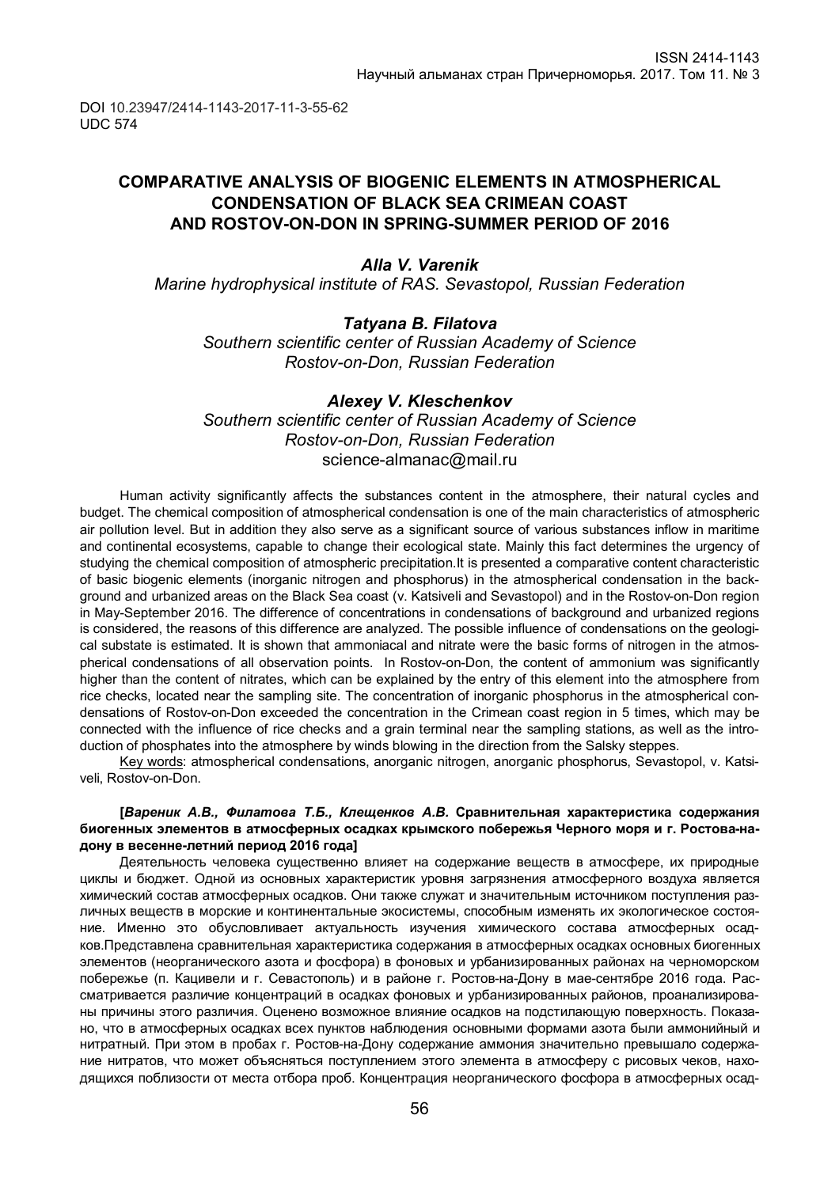DOI 10.23947/2414-1143-2017-11-3-55-62 UDC 574

## **COMPARATIVE ANALYSIS OF BIOGENIC ELEMENTS IN ATMOSPHERICAL CONDENSATION OF BLACK SEA CRIMEAN COAST AND ROSTOV-ON-DON IN SPRING-SUMMER PERIOD OF 2016**

### *Alla V. Varenik*

*Marine hydrophysical institute of RAS. Sevastopol, Russian Federation*

#### *Tatyana B. Filatova*

*Southern scientific center of Russian Academy of Science Rostov-on-Don, Russian Federation*

#### *Alexey V. Kleschenkov*

*Southern scientific center of Russian Academy of Science Rostov-on-Don, Russian Federation* science-almanac@mail.ru

Human activity significantly affects the substances content in the atmosphere, their natural cycles and budget. The chemical composition of atmospherical condensation is one of the main characteristics of atmospheric air pollution level. But in addition they also serve as a significant source of various substances inflow in maritime and continental ecosystems, capable to change their ecological state. Mainly this fact determines the urgency of studying the chemical composition of atmospheric precipitation.It is presented a comparative content characteristic of basic biogenic elements (inorganic nitrogen and phosphorus) in the atmospherical condensation in the background and urbanized areas on the Black Sea coast (v. Katsiveli and Sevastopol) and in the Rostov-on-Don region in May-September 2016. The difference of concentrations in condensations of background and urbanized regions is considered, the reasons of this difference are analyzed. The possible influence of condensations on the geological substate is estimated. It is shown that ammoniacal and nitrate were the basic forms of nitrogen in the atmospherical condensations of all observation points. In Rostov-on-Don, the content of ammonium was significantly higher than the content of nitrates, which can be explained by the entry of this element into the atmosphere from rice checks, located near the sampling site. The concentration of inorganic phosphorus in the atmospherical condensations of Rostov-on-Don exceeded the concentration in the Crimean coast region in 5 times, which may be connected with the influence of rice checks and a grain terminal near the sampling stations, as well as the introduction of phosphates into the atmosphere by winds blowing in the direction from the Salsky steppes.

Key words: atmospherical condensations, anorganic nitrogen, anorganic phosphorus, Sevastopol, v. Katsiveli, Rostov-on-Don.

#### **[***Вареник А.В., Филатова Т.Б., Клещенков А.В.* **Сравнительная характеристика содержания биогенных элементов в атмосферных осадках крымского побережья Черного моря и г. Ростова-надону в весенне-летний период 2016 года]**

Деятельность человека существенно влияет на содержание веществ в атмосфере, их природные циклы и бюджет. Одной из основных характеристик уровня загрязнения атмосферного воздуха является химический состав атмосферных осадков. Они также служат и значительным источником поступления различных веществ в морские и континентальные экосистемы, способным изменять их экологическое состояние. Именно это обусловливает актуальность изучения химического состава атмосферных осадков.Представлена сравнительная характеристика содержания в атмосферных осадках основных биогенных элементов (неорганического азота и фосфора) в фоновых и урбанизированных районах на черноморском побережье (п. Кацивели и г. Севастополь) и в районе г. Ростов-на-Дону в мае-сентябре 2016 года. Рассматривается различие концентраций в осадках фоновых и урбанизированных районов, проанализированы причины этого различия. Оценено возможное влияние осадков на подстилающую поверхность. Показано, что в атмосферных осадках всех пунктов наблюдения основными формами азота были аммонийный и нитратный. При этом в пробах г. Ростов-на-Дону содержание аммония значительно превышало содержание нитратов, что может объясняться поступлением этого элемента в атмосферу с рисовых чеков, находящихся поблизости от места отбора проб. Концентрация неорганического фосфора в атмосферных осад-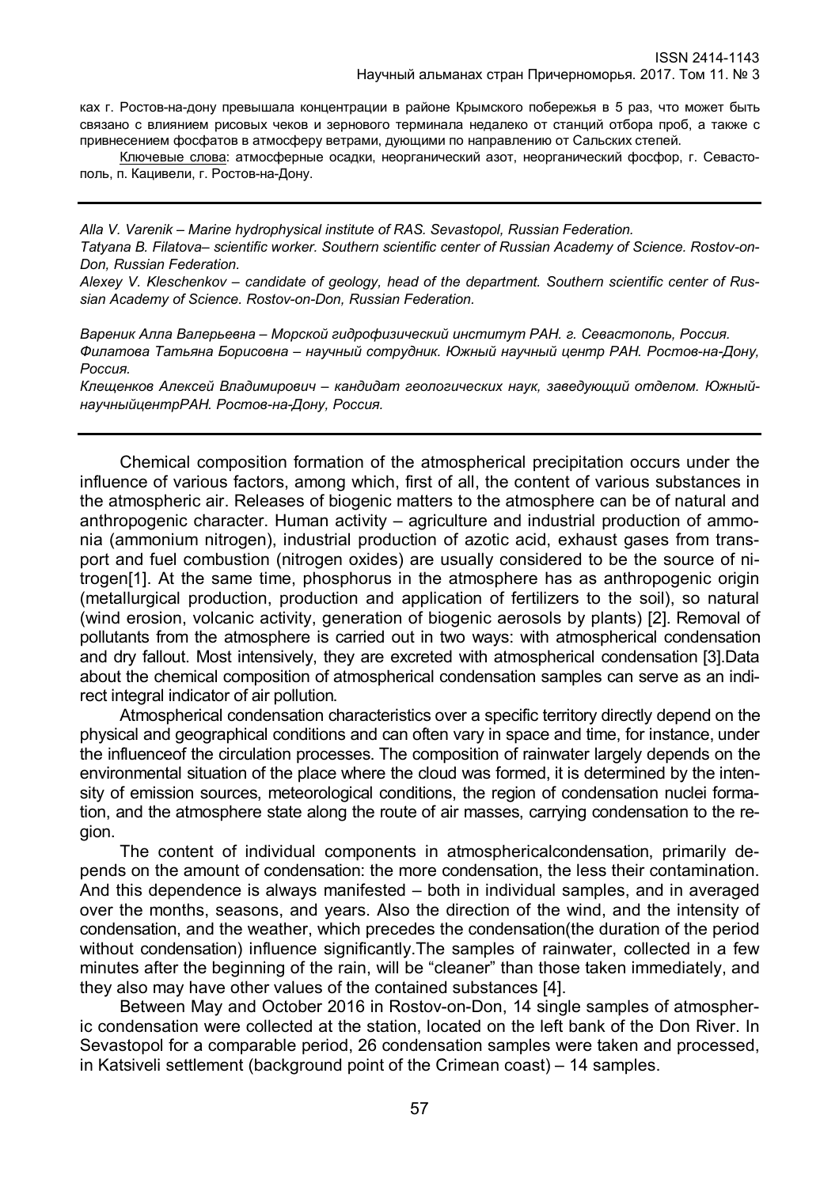ках г. Ростов-на-дону превышала концентрации в районе Крымского побережья в 5 раз, что может быть связано с влиянием рисовых чеков и зернового терминала недалеко от станций отбора проб, а также с привнесением фосфатов в атмосферу ветрами, дующими по направлению от Сальских степей.

Ключевые слова: атмосферные осадки, неорганический азот, неорганический фосфор, г. Севастополь, п. Кацивели, г. Ростов-на-Дону.

*Alla V. Varenik – Marine hydrophysical institute of RAS. Sevastopol, Russian Federation. Tatyana B. Filatova– scientific worker. Southern scientific center of Russian Academy of Science. Rostov-on-Don, Russian Federation.* 

*Alexey V. Kleschenkov – candidate of geology, head of the department. Southern scientific center of Russian Academy of Science. Rostov-on-Don, Russian Federation.*

*Вареник Алла Валерьевна – Морской гидрофизический институт РАН. г. Севастополь, Россия. Филатова Татьяна Борисовна – научный сотрудник. Южный научный центр РАН. Ростов-на-Дону, Россия.*

*Клещенков Алексей Владимирович – кандидат геологических наук, заведующий отделом. ЮжныйнаучныйцентрРАН. Ростов-на-Дону, Россия.*

Chemical composition formation of the atmospherical precipitation occurs under the influence of various factors, among which, first of all, the content of various substances in the atmospheric air. Releases of biogenic matters to the atmosphere can be of natural and anthropogenic character. Human activity – agriculture and industrial production of ammonia (ammonium nitrogen), industrial production of azotic acid, exhaust gases from transport and fuel combustion (nitrogen oxides) are usually considered to be the source of nitrogen[1]. At the same time, phosphorus in the atmosphere has as anthropogenic origin (metallurgical production, production and application of fertilizers to the soil), so natural (wind erosion, volcanic activity, generation of biogenic aerosols by plants) [2]. Removal of pollutants from the atmosphere is carried out in two ways: with atmospherical condensation and dry fallout. Most intensively, they are excreted with atmospherical condensation [3].Data about the chemical composition of atmospherical condensation samples can serve as an indirect integral indicator of air pollution.

Atmospherical condensation characteristics over a specific territory directly depend on the physical and geographical conditions and can often vary in space and time, for instance, under the influenceof the circulation processes. The composition of rainwater largely depends on the environmental situation of the place where the cloud was formed, it is determined by the intensity of emission sources, meteorological conditions, the region of condensation nuclei formation, and the atmosphere state along the route of air masses, carrying condensation to the region.

The content of individual components in atmosphericalcondensation, primarily depends on the amount of condensation: the more condensation, the less their contamination. And this dependence is always manifested – both in individual samples, and in averaged over the months, seasons, and years. Also the direction of the wind, and the intensity of condensation, and the weather, which precedes the condensation(the duration of the period without condensation) influence significantly.The samples of rainwater, collected in a few minutes after the beginning of the rain, will be "cleaner" than those taken immediately, and they also may have other values of the contained substances [4].

Between May and October 2016 in Rostov-on-Don, 14 single samples of atmospheric condensation were collected at the station, located on the left bank of the Don River. In Sevastopol for a comparable period, 26 condensation samples were taken and processed, in Katsiveli settlement (background point of the Crimean coast) – 14 samples.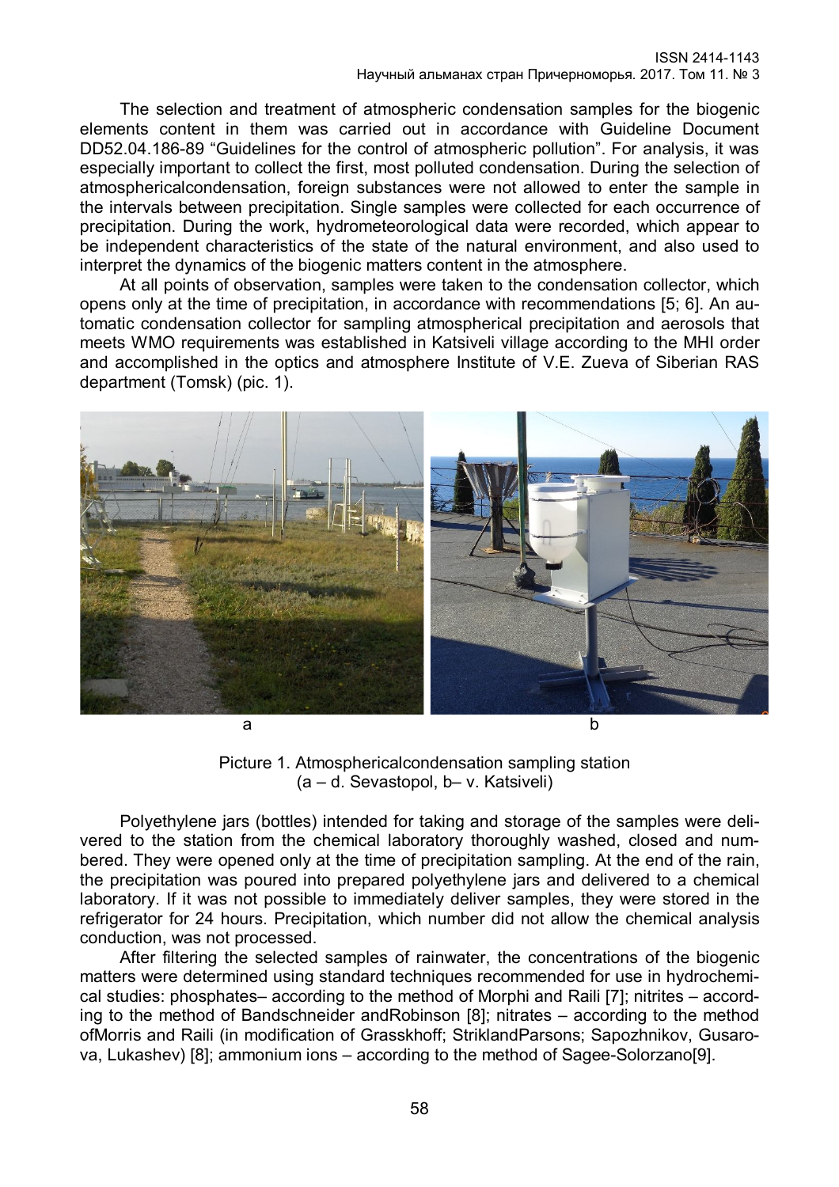The selection and treatment of atmospheric condensation samples for the biogenic elements content in them was carried out in accordance with Guideline Document DD52.04.186-89 "Guidelines for the control of atmospheric pollution". For analysis, it was especially important to collect the first, most polluted condensation. During the selection of atmosphericalcondensation, foreign substances were not allowed to enter the sample in the intervals between precipitation. Single samples were collected for each occurrence of precipitation. During the work, hydrometeorological data were recorded, which appear to be independent characteristics of the state of the natural environment, and also used to interpret the dynamics of the biogenic matters content in the atmosphere.

At all points of observation, samples were taken to the condensation collector, which opens only at the time of precipitation, in accordance with recommendations [5; 6]. An automatic condensation collector for sampling atmospherical precipitation and aerosols that meets WMO requirements was established in Katsiveli village according to the MHI order and accomplished in the optics and atmosphere Institute of V.E. Zueva of Siberian RAS department (Tomsk) (pic. 1).



Picture 1. Atmosphericalcondensation sampling station (a – d. Sevastopol, b– v. Katsiveli)

Polyethylene jars (bottles) intended for taking and storage of the samples were delivered to the station from the chemical laboratory thoroughly washed, closed and numbered. They were opened only at the time of precipitation sampling. At the end of the rain, the precipitation was poured into prepared polyethylene jars and delivered to a chemical laboratory. If it was not possible to immediately deliver samples, they were stored in the refrigerator for 24 hours. Precipitation, which number did not allow the chemical analysis conduction, was not processed.

After filtering the selected samples of rainwater, the concentrations of the biogenic matters were determined using standard techniques recommended for use in hydrochemical studies: phosphates– according to the method of Morphi and Raili [7]; nitrites – according to the method of Bandschneider andRobinson [8]; nitrates – according to the method ofMorris and Raili (in modification of Grasskhoff; StriklandParsons; Sapozhnikov, Gusarova, Lukashev) [8]; ammonium ions – according to the method of Sagee-Solorzano[9].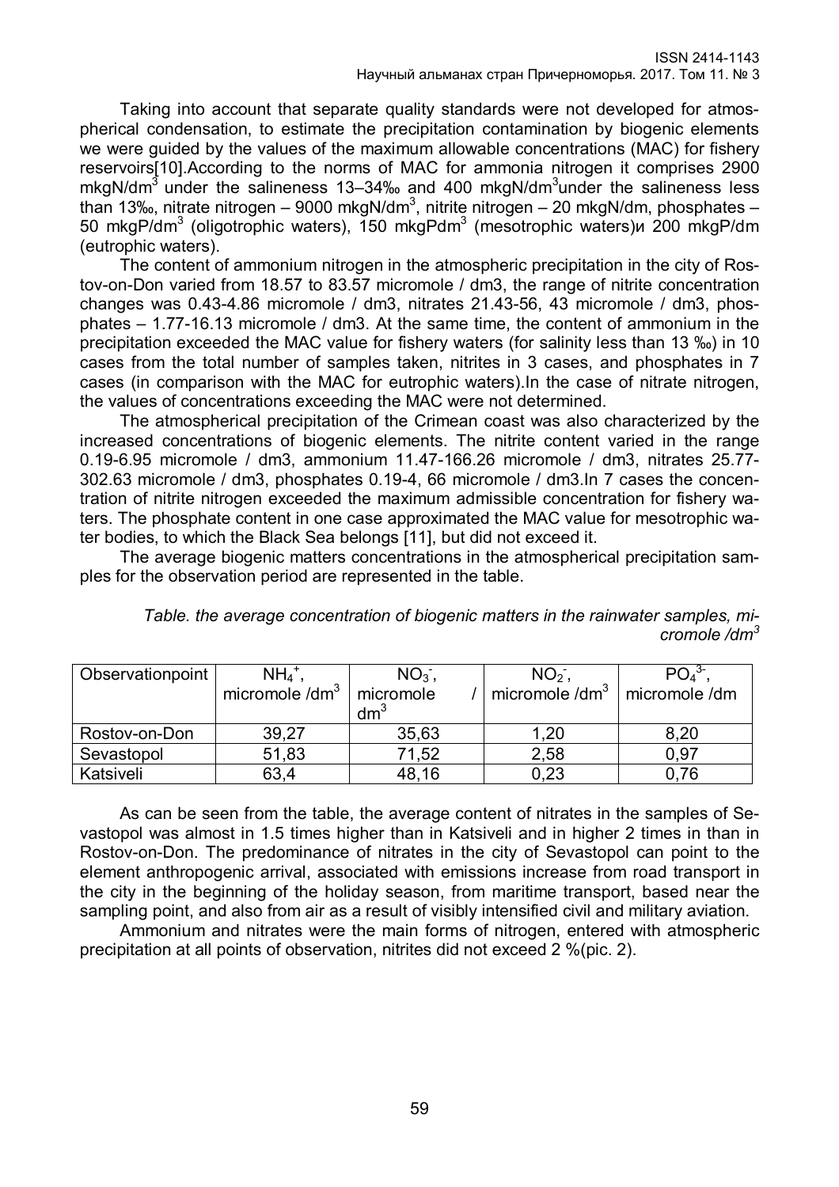Taking into account that separate quality standards were not developed for atmospherical condensation, to estimate the precipitation contamination by biogenic elements we were guided by the values of the maximum allowable concentrations (MAC) for fishery reservoirs[10].According to the norms of MAC for ammonia nitrogen it comprises 2900 mkgN/dm<sup>3</sup> under the salineness 13–34‰ and 400 mkgN/dm<sup>3</sup>under the salineness less than 13‰, nitrate nitrogen – 9000 mkgN/dm $^3$ , nitrite nitrogen – 20 mkgN/dm, phosphates – 50 mkgP/dm<sup>3</sup> (oligotrophic waters), 150 mkgPdm<sup>3</sup> (mesotrophic waters)и 200 mkgP/dm (eutrophic waters).

The content of ammonium nitrogen in the atmospheric precipitation in the city of Rostov-on-Don varied from 18.57 to 83.57 micromole / dm3, the range of nitrite concentration changes was 0.43-4.86 micromole / dm3, nitrates 21.43-56, 43 micromole / dm3, phosphates – 1.77-16.13 micromole / dm3. At the same time, the content of ammonium in the precipitation exceeded the MAC value for fishery waters (for salinity less than 13 ‰) in 10 cases from the total number of samples taken, nitrites in 3 cases, and phosphates in 7 cases (in comparison with the MAC for eutrophic waters).In the case of nitrate nitrogen, the values of concentrations exceeding the MAC were not determined.

The atmospherical precipitation of the Crimean coast was also characterized by the increased concentrations of biogenic elements. The nitrite content varied in the range 0.19-6.95 micromole / dm3, ammonium 11.47-166.26 micromole / dm3, nitrates 25.77- 302.63 micromole / dm3, phosphates 0.19-4, 66 micromole / dm3.In 7 cases the concentration of nitrite nitrogen exceeded the maximum admissible concentration for fishery waters. The phosphate content in one case approximated the MAC value for mesotrophic water bodies, to which the Black Sea belongs [11], but did not exceed it.

The average biogenic matters concentrations in the atmospherical precipitation samples for the observation period are represented in the table.

|  | Table, the average concentration of biogenic matters in the rainwater samples, mi- |  |                  |  |
|--|------------------------------------------------------------------------------------|--|------------------|--|
|  |                                                                                    |  | cromole / $dm^3$ |  |
|  |                                                                                    |  |                  |  |

| Observationpoint | $NH_4$                     | NO <sub>3</sub> | NO <sub>2</sub>          |               |
|------------------|----------------------------|-----------------|--------------------------|---------------|
|                  | micromole /dm <sup>3</sup> | micromole       | micromole $\text{/dm}^3$ | micromole /dm |
|                  |                            | $\rm{dm}^3$     |                          |               |
| Rostov-on-Don    | 39,27                      | 35,63           | 1,20                     | 8,20          |
| Sevastopol       | 51,83                      | 71,52           | 2,58                     | 0.97          |
| Katsiveli        | 63,4                       | 48,16           | 0,23                     | .76           |

As can be seen from the table, the average content of nitrates in the samples of Sevastopol was almost in 1.5 times higher than in Katsiveli and in higher 2 times in than in Rostov-on-Don. The predominance of nitrates in the city of Sevastopol can point to the element anthropogenic arrival, associated with emissions increase from road transport in the city in the beginning of the holiday season, from maritime transport, based near the sampling point, and also from air as a result of visibly intensified civil and military aviation.

Ammonium and nitrates were the main forms of nitrogen, entered with atmospheric precipitation at all points of observation, nitrites did not exceed 2 %(pic. 2).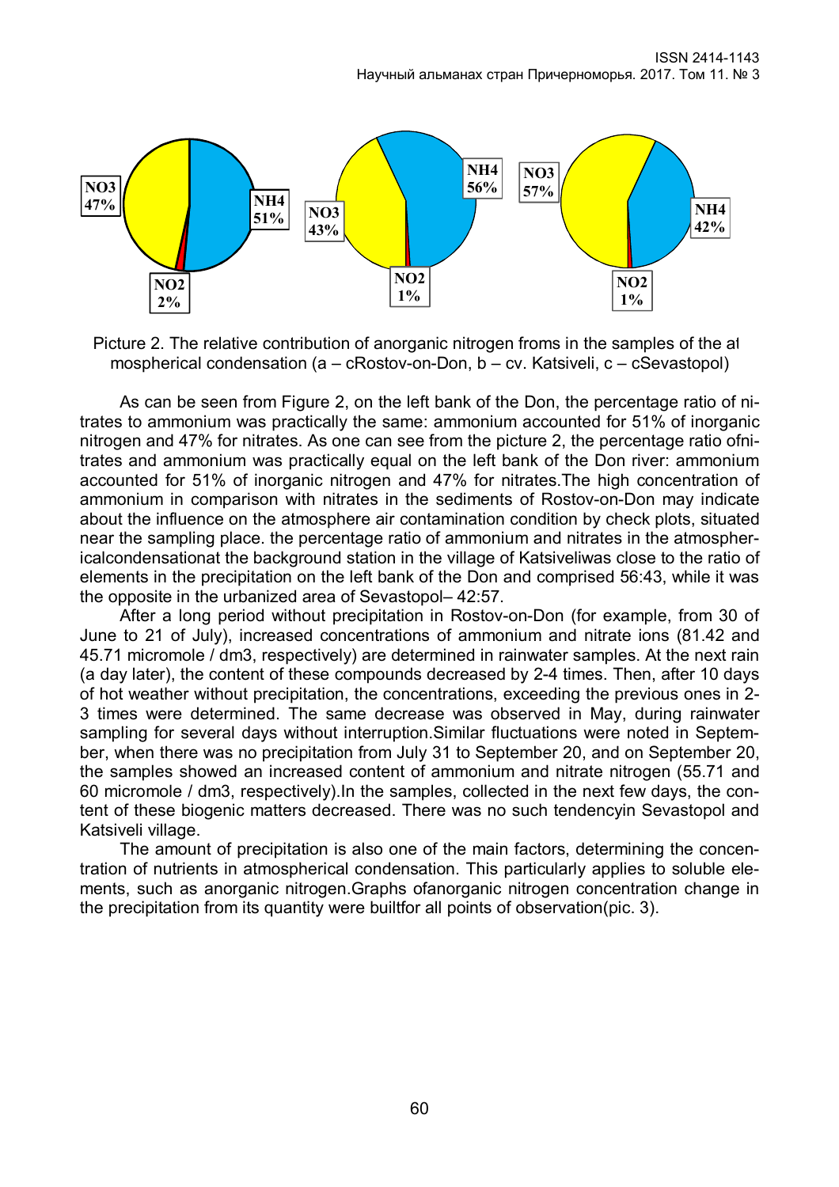

Picture 2. The relative contribution of anorganic nitrogen froms in the samples of the atmospherical condensation (a – cRostov-on-Don, b – cv. Katsiveli, c – cSevastopol)

As can be seen from Figure 2, on the left bank of the Don, the percentage ratio of nitrates to ammonium was practically the same: ammonium accounted for 51% of inorganic nitrogen and 47% for nitrates. As one can see from the picture 2, the percentage ratio ofnitrates and ammonium was practically equal on the left bank of the Don river: ammonium accounted for 51% of inorganic nitrogen and 47% for nitrates.The high concentration of ammonium in comparison with nitrates in the sediments of Rostov-on-Don may indicate about the influence on the atmosphere air contamination condition by check plots, situated near the sampling place. the percentage ratio of ammonium and nitrates in the atmosphericalcondensationat the background station in the village of Katsiveliwas close to the ratio of elements in the precipitation on the left bank of the Don and comprised 56:43, while it was the opposite in the urbanized area of Sevastopol– 42:57.

After a long period without precipitation in Rostov-on-Don (for example, from 30 of June to 21 of July), increased concentrations of ammonium and nitrate ions (81.42 and 45.71 micromole / dm3, respectively) are determined in rainwater samples. At the next rain (a day later), the content of these compounds decreased by 2-4 times. Then, after 10 days of hot weather without precipitation, the concentrations, exceeding the previous ones in 2- 3 times were determined. The same decrease was observed in May, during rainwater sampling for several days without interruption.Similar fluctuations were noted in September, when there was no precipitation from July 31 to September 20, and on September 20, the samples showed an increased content of ammonium and nitrate nitrogen (55.71 and 60 micromole / dm3, respectively).In the samples, collected in the next few days, the content of these biogenic matters decreased. There was no such tendencyin Sevastopol and Katsiveli village.

The amount of precipitation is also one of the main factors, determining the concentration of nutrients in atmospherical condensation. This particularly applies to soluble elements, such as anorganic nitrogen.Graphs ofanorganic nitrogen concentration change in the precipitation from its quantity were builtfor all points of observation(pic. 3).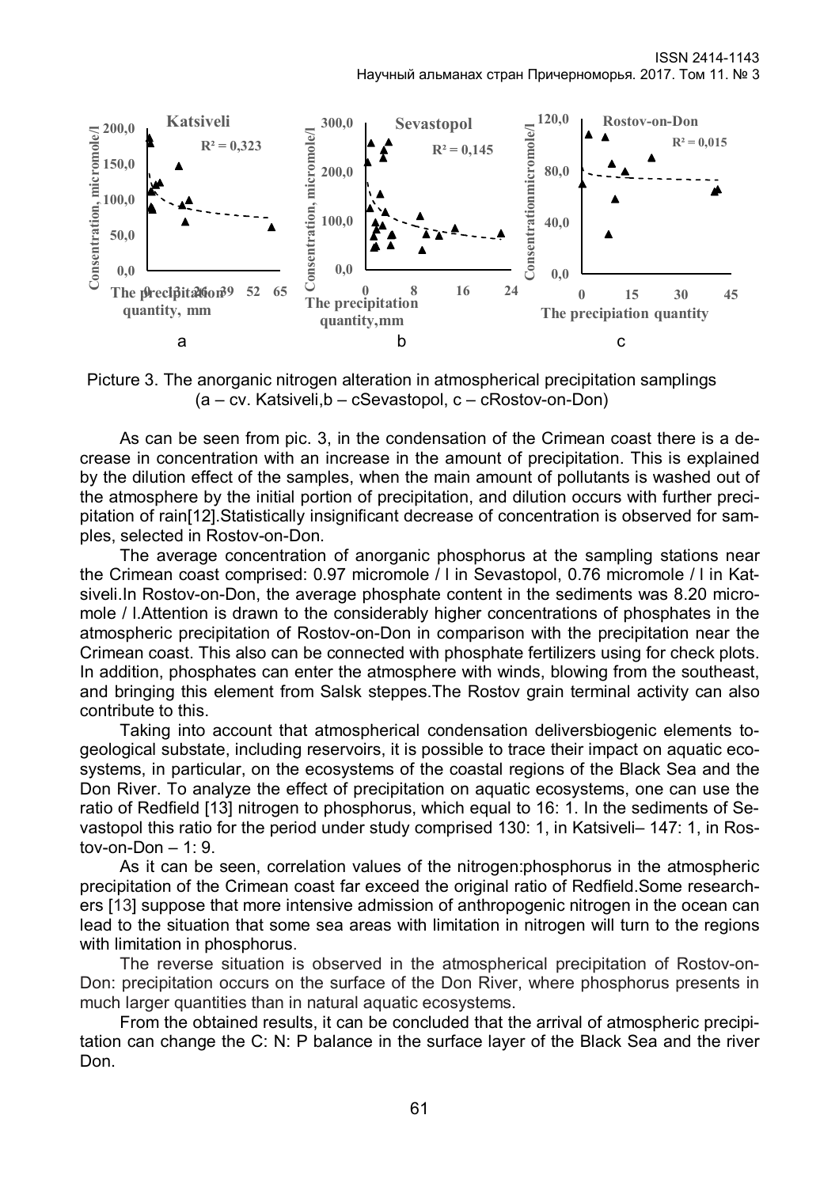

Picture 3. The anorganic nitrogen alteration in atmospherical precipitation samplings (a – cv. Katsiveli,b – cSevastopol, c – cRostov-on-Don)

As can be seen from pic. 3, in the condensation of the Crimean coast there is a decrease in concentration with an increase in the amount of precipitation. This is explained by the dilution effect of the samples, when the main amount of pollutants is washed out of the atmosphere by the initial portion of precipitation, and dilution occurs with further precipitation of rain[12].Statistically insignificant decrease of concentration is observed for samples, selected in Rostov-on-Don.

The average concentration of anorganic phosphorus at the sampling stations near the Crimean coast comprised: 0.97 micromole / l in Sevastopol, 0.76 micromole / l in Katsiveli.In Rostov-on-Don, the average phosphate content in the sediments was 8.20 micromole / l.Attention is drawn to the considerably higher concentrations of phosphates in the atmospheric precipitation of Rostov-on-Don in comparison with the precipitation near the Crimean coast. This also can be connected with phosphate fertilizers using for check plots. In addition, phosphates can enter the atmosphere with winds, blowing from the southeast, and bringing this element from Salsk steppes.The Rostov grain terminal activity can also contribute to this.

Taking into account that atmospherical condensation deliversbiogenic elements togeological substate, including reservoirs, it is possible to trace their impact on aquatic ecosystems, in particular, on the ecosystems of the coastal regions of the Black Sea and the Don River. To analyze the effect of precipitation on aquatic ecosystems, one can use the ratio of Redfield [13] nitrogen to phosphorus, which equal to 16: 1. In the sediments of Sevastopol this ratio for the period under study comprised 130: 1, in Katsiveli– 147: 1, in Rostov-on-Don  $-1:9$ .

As it can be seen, correlation values of the nitrogen:phosphorus in the atmospheric precipitation of the Crimean coast far exceed the original ratio of Redfield.Some researchers [13] suppose that more intensive admission of anthropogenic nitrogen in the ocean can lead to the situation that some sea areas with limitation in nitrogen will turn to the regions with limitation in phosphorus.

The reverse situation is observed in the atmospherical precipitation of Rostov-on-Don: precipitation occurs on the surface of the Don River, where phosphorus presents in much larger quantities than in natural aquatic ecosystems.

From the obtained results, it can be concluded that the arrival of atmospheric precipitation can change the C: N: P balance in the surface layer of the Black Sea and the river Don.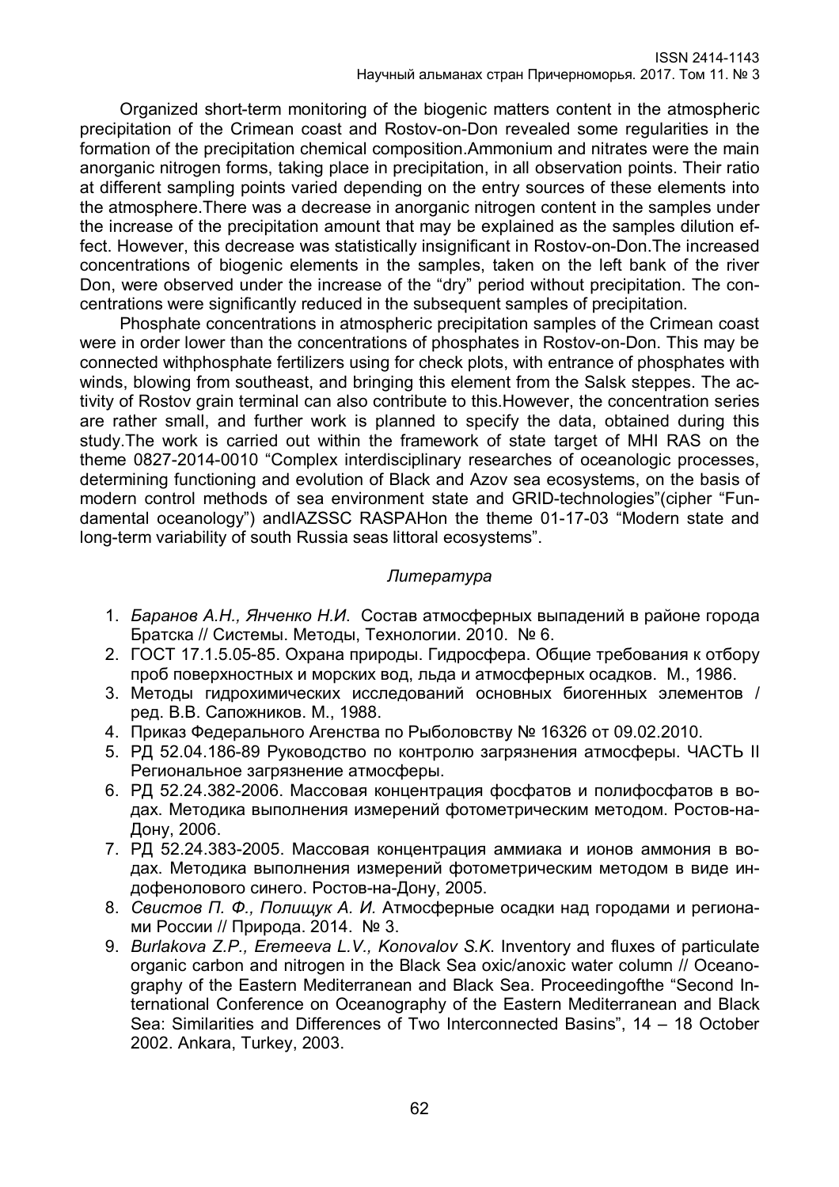Organized short-term monitoring of the biogenic matters content in the atmospheric precipitation of the Crimean coast and Rostov-on-Don revealed some regularities in the formation of the precipitation chemical composition.Ammonium and nitrates were the main anorganic nitrogen forms, taking place in precipitation, in all observation points. Their ratio at different sampling points varied depending on the entry sources of these elements into the atmosphere.There was a decrease in anorganic nitrogen content in the samples under the increase of the precipitation amount that may be explained as the samples dilution effect. However, this decrease was statistically insignificant in Rostov-on-Don.The increased concentrations of biogenic elements in the samples, taken on the left bank of the river Don, were observed under the increase of the "dry" period without precipitation. The concentrations were significantly reduced in the subsequent samples of precipitation.

Phosphate concentrations in atmospheric precipitation samples of the Crimean coast were in order lower than the concentrations of phosphates in Rostov-on-Don. This may be connected withphosphate fertilizers using for check plots, with entrance of phosphates with winds, blowing from southeast, and bringing this element from the Salsk steppes. The activity of Rostov grain terminal can also contribute to this.However, the concentration series are rather small, and further work is planned to specify the data, obtained during this study.The work is carried out within the framework of state target of MHI RAS on the theme 0827-2014-0010 "Complex interdisciplinary researches of oceanologic processes, determining functioning and evolution of Black and Azov sea ecosystems, on the basis of modern control methods of sea environment state and GRID-technologies"(cipher "Fundamental oceanology") andIAZSSC RASРАНon the theme 01-17-03 "Modern state and long-term variability of south Russia seas littoral ecosystems".

## *Литература*

- 1. *Баранов А.Н., Янченко Н.И*. Состав атмосферных выпадений в районе города Братска // Системы. Методы, Технологии. 2010. № 6.
- 2. ГОСТ 17.1.5.05-85. Охрана природы. Гидросфера. Общие требования к отбору проб поверхностных и морских вод, льда и атмосферных осадков. М., 1986.
- 3. Методы гидрохимических исследований основных биогенных элементов / ред. В.В. Сапожников. М., 1988.
- 4. [Приказ Федерального Агенства по Рыболовству № 16326 от 09.02.2010.](http://oceanography.ru/index.php/2013-10-25-13-45-55/2013-05-26-09-09-40)
- 5. РД 52.04.186-89 Руководство по контролю загрязнения атмосферы. ЧАСТЬ II Региональное загрязнение атмосферы.
- 6. РД 52.24.382-2006. Массовая концентрация фосфатов и полифосфатов в водах. Методика выполнения измерений фотометрическим методом. Ростов-на-Дону, 2006.
- 7. РД 52.24.383-2005. Массовая концентрация аммиака и ионов аммония в водах. Методика выполнения измерений фотометрическим методом в виде индофенолового синего. Ростов-на-Дону, 2005.
- 8. *Свистов П. Ф., Полищук А. И.* Атмосферные осадки над городами и регионами России // Природа. 2014. № 3.
- 9. *Burlakova Z.P., Eremeeva L.V., Konovalov S.K*. Inventory and fluxes of particulate organic carbon and nitrogen in the Black Sea oxic/anoxic water column // Oceanography of the Eastern Mediterranean and Black Sea. Proceedingofthe "Second International Conference on Oceanography of the Eastern Mediterranean and Black Sea: Similarities and Differences of Two Interconnected Basins", 14 – 18 October 2002. Ankara, Turkey, 2003.